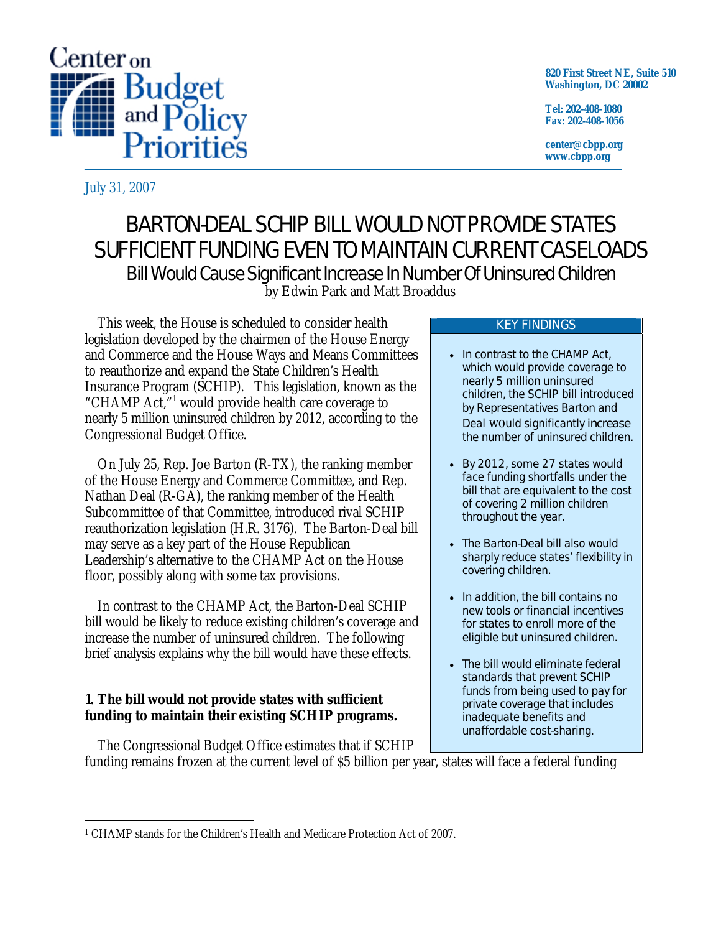

**820 First Street NE, Suite 510 Washington, DC 20002** 

**Tel: 202-408-1080 Fax: 202-408-1056** 

**center@cbpp.org www.cbpp.org** 

July 31, 2007

# BARTON-DEAL SCHIP BILL WOULD NOT PROVIDE STATES SUFFICIENT FUNDING EVEN TO MAINTAIN CURRENT CASELOADS Bill Would Cause Significant Increase In Number Of Uninsured Children by Edwin Park and Matt Broaddus

This week, the House is scheduled to consider health legislation developed by the chairmen of the House Energy and Commerce and the House Ways and Means Committees to reauthorize and expand the State Children's Health Insurance Program (SCHIP). This legislation, known as the "CHAMP Act,"<sup>1</sup> would provide health care coverage to nearly 5 million uninsured children by 2012, according to the Congressional Budget Office.

On July 25, Rep. Joe Barton (R-TX), the ranking member of the House Energy and Commerce Committee, and Rep. Nathan Deal (R-GA), the ranking member of the Health Subcommittee of that Committee, introduced rival SCHIP reauthorization legislation (H.R. 3176). The Barton-Deal bill may serve as a key part of the House Republican Leadership's alternative to the CHAMP Act on the House floor, possibly along with some tax provisions.

In contrast to the CHAMP Act, the Barton-Deal SCHIP bill would be likely to reduce existing children's coverage and increase the number of uninsured children. The following brief analysis explains why the bill would have these effects.

## **1. The bill would not provide states with sufficient funding to maintain their existing SCHIP programs.**

The Congressional Budget Office estimates that if SCHIP

#### KEY FINDINGS

- In contrast to the CHAMP Act, which would provide coverage to nearly 5 million uninsured children, the SCHIP bill introduced by Representatives Barton and Deal would significantly *increase* the number of uninsured children.
- By 2012, some 27 states would face funding shortfalls under the bill that are equivalent to the cost of covering 2 million children throughout the year.
- The Barton-Deal bill also would sharply reduce states' flexibility in covering children.
- In addition, the bill contains no new tools or financial incentives for states to enroll more of the eligible but uninsured children.
- The bill would eliminate federal standards that prevent SCHIP funds from being used to pay for private coverage that includes inadequate benefits and unaffordable cost-sharing.

funding remains frozen at the current level of \$5 billion per year, states will face a federal funding

 $\overline{a}$ 1 CHAMP stands for the Children's Health and Medicare Protection Act of 2007.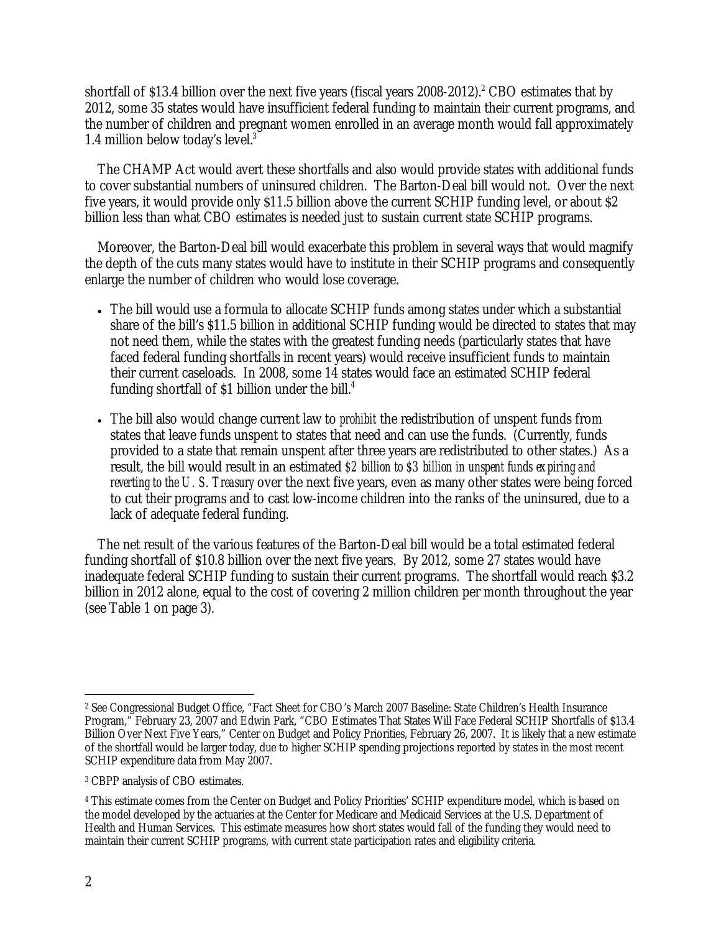shortfall of \$13.4 billion over the next five years (fiscal years  $2008-2012$ ).<sup>2</sup> CBO estimates that by 2012, some 35 states would have insufficient federal funding to maintain their current programs, and the number of children and pregnant women enrolled in an average month would fall approximately 1.4 million below today's level.3

The CHAMP Act would avert these shortfalls and also would provide states with additional funds to cover substantial numbers of uninsured children. The Barton-Deal bill would not. Over the next five years, it would provide only \$11.5 billion above the current SCHIP funding level, or about \$2 billion less than what CBO estimates is needed just to sustain current state SCHIP programs.

Moreover, the Barton-Deal bill would exacerbate this problem in several ways that would magnify the depth of the cuts many states would have to institute in their SCHIP programs and consequently enlarge the number of children who would lose coverage.

- The bill would use a formula to allocate SCHIP funds among states under which a substantial share of the bill's \$11.5 billion in additional SCHIP funding would be directed to states that may not need them, while the states with the greatest funding needs (particularly states that have faced federal funding shortfalls in recent years) would receive insufficient funds to maintain their current caseloads. In 2008, some 14 states would face an estimated SCHIP federal funding shortfall of \$1 billion under the bill. $4$
- The bill also would change current law to *prohibit* the redistribution of unspent funds from states that leave funds unspent to states that need and can use the funds. (Currently, funds provided to a state that remain unspent after three years are redistributed to other states.) As a result, the bill would result in an estimated *\$2 billion to \$3 billion in unspent funds expiring and reverting to the U. S. Treasury* over the next five years, even as many other states were being forced to cut their programs and to cast low-income children into the ranks of the uninsured, due to a lack of adequate federal funding.

The net result of the various features of the Barton-Deal bill would be a total estimated federal funding shortfall of \$10.8 billion over the next five years. By 2012, some 27 states would have inadequate federal SCHIP funding to sustain their current programs. The shortfall would reach \$3.2 billion in 2012 alone, equal to the cost of covering 2 million children per month throughout the year (see Table 1 on page 3).

 $\overline{a}$ 2 See Congressional Budget Office, "Fact Sheet for CBO's March 2007 Baseline: State Children's Health Insurance Program," February 23, 2007 and Edwin Park, "CBO Estimates That States Will Face Federal SCHIP Shortfalls of \$13.4 Billion Over Next Five Years," Center on Budget and Policy Priorities, February 26, 2007. It is likely that a new estimate of the shortfall would be larger today, due to higher SCHIP spending projections reported by states in the most recent SCHIP expenditure data from May 2007.

<sup>3</sup> CBPP analysis of CBO estimates.

<sup>4</sup> This estimate comes from the Center on Budget and Policy Priorities' SCHIP expenditure model, which is based on the model developed by the actuaries at the Center for Medicare and Medicaid Services at the U.S. Department of Health and Human Services. This estimate measures how short states would fall of the funding they would need to maintain their current SCHIP programs, with current state participation rates and eligibility criteria.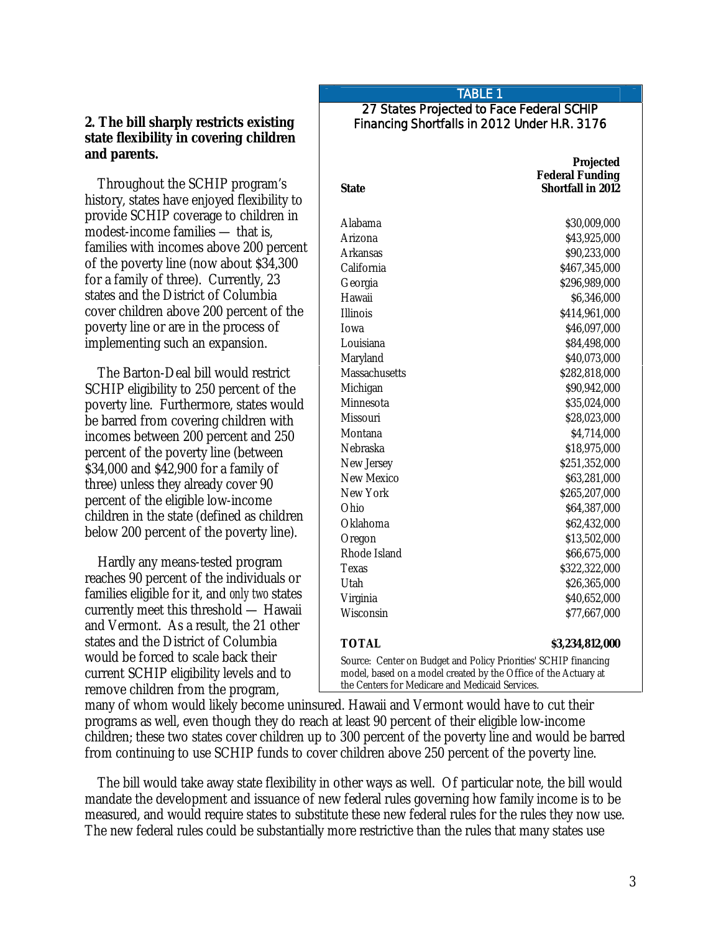## **2. The bill sharply restricts existing state flexibility in covering children and parents.**

Throughout the SCHIP program's history, states have enjoyed flexibility to provide SCHIP coverage to children in modest-income families — that is, families with incomes above 200 percent of the poverty line (now about \$34,300 for a family of three). Currently, 23 states and the District of Columbia cover children above 200 percent of the poverty line or are in the process of implementing such an expansion.

The Barton-Deal bill would restrict SCHIP eligibility to 250 percent of the poverty line. Furthermore, states would be barred from covering children with incomes between 200 percent and 250 percent of the poverty line (between \$34,000 and \$42,900 for a family of three) unless they already cover 90 percent of the eligible low-income children in the state (defined as children below 200 percent of the poverty line).

Hardly any means-tested program reaches 90 percent of the individuals or families eligible for it, and *only two* states currently meet this threshold — Hawaii and Vermont. As a result, the 21 other states and the District of Columbia would be forced to scale back their current SCHIP eligibility levels and to remove children from the program,

## TABLE 1

#### 27 States Projected to Face Federal SCHIP Financing Shortfalls in 2012 Under H.R. 3176

| <b>State</b>  | Projected<br><b>Federal Funding</b><br><b>Shortfall in 2012</b> |
|---------------|-----------------------------------------------------------------|
| Alabama       | \$30,009,000                                                    |
| Arizona       | \$43,925,000                                                    |
| Arkansas      | \$90,233,000                                                    |
| California    | \$467,345,000                                                   |
| Georgia       | \$296,989,000                                                   |
| Hawaii        | \$6,346,000                                                     |
| Illinois      | \$414,961,000                                                   |
| Iowa          | \$46,097,000                                                    |
| Louisiana     | \$84,498,000                                                    |
| Maryland      | \$40,073,000                                                    |
| Massachusetts | \$282,818,000                                                   |
| Michigan      | \$90,942,000                                                    |
| Minnesota     | \$35,024,000                                                    |
| Missouri      | \$28,023,000                                                    |
| Montana       | \$4,714,000                                                     |
| Nebraska      | \$18,975,000                                                    |
| New Jersey    | \$251,352,000                                                   |
| New Mexico    | \$63,281,000                                                    |
| New York      | \$265,207,000                                                   |
| Ohio          | \$64,387,000                                                    |
| Oklahoma      | \$62,432,000                                                    |
| Oregon        | \$13,502,000                                                    |
| Rhode Island  | \$66,675,000                                                    |
| Texas         | \$322,322,000                                                   |
| Utah          | \$26,365,000                                                    |
| Virginia      | \$40,652,000                                                    |
| Wisconsin     | \$77,667,000                                                    |
| <b>TOTAL</b>  | \$3,234,812,000                                                 |

many of whom would likely become uninsured. Hawaii and Vermont would have to cut their programs as well, even though they do reach at least 90 percent of their eligible low-income children; these two states cover children up to 300 percent of the poverty line and would be barred from continuing to use SCHIP funds to cover children above 250 percent of the poverty line.

The bill would take away state flexibility in other ways as well. Of particular note, the bill would mandate the development and issuance of new federal rules governing how family income is to be measured, and would require states to substitute these new federal rules for the rules they now use. The new federal rules could be substantially more restrictive than the rules that many states use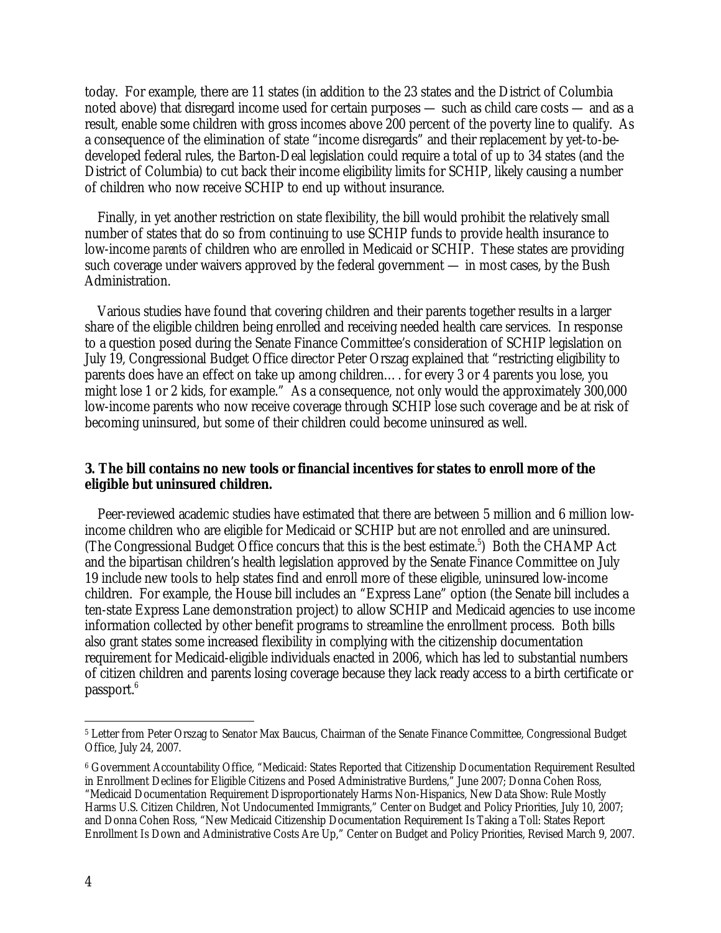today. For example, there are 11 states (in addition to the 23 states and the District of Columbia noted above) that disregard income used for certain purposes — such as child care costs — and as a result, enable some children with gross incomes above 200 percent of the poverty line to qualify. As a consequence of the elimination of state "income disregards" and their replacement by yet-to-bedeveloped federal rules, the Barton-Deal legislation could require a total of up to 34 states (and the District of Columbia) to cut back their income eligibility limits for SCHIP, likely causing a number of children who now receive SCHIP to end up without insurance.

Finally, in yet another restriction on state flexibility, the bill would prohibit the relatively small number of states that do so from continuing to use SCHIP funds to provide health insurance to low-income *parents* of children who are enrolled in Medicaid or SCHIP. These states are providing such coverage under waivers approved by the federal government — in most cases, by the Bush Administration.

Various studies have found that covering children and their parents together results in a larger share of the eligible children being enrolled and receiving needed health care services. In response to a question posed during the Senate Finance Committee's consideration of SCHIP legislation on July 19, Congressional Budget Office director Peter Orszag explained that "restricting eligibility to parents does have an effect on take up among children…. for every 3 or 4 parents you lose, you might lose 1 or 2 kids, for example." As a consequence, not only would the approximately 300,000 low-income parents who now receive coverage through SCHIP lose such coverage and be at risk of becoming uninsured, but some of their children could become uninsured as well.

#### **3. The bill contains no new tools or financial incentives for states to enroll more of the eligible but uninsured children.**

Peer-reviewed academic studies have estimated that there are between 5 million and 6 million lowincome children who are eligible for Medicaid or SCHIP but are not enrolled and are uninsured. (The Congressional Budget Office concurs that this is the best estimate.<sup>5</sup>) Both the CHAMP Act and the bipartisan children's health legislation approved by the Senate Finance Committee on July 19 include new tools to help states find and enroll more of these eligible, uninsured low-income children. For example, the House bill includes an "Express Lane" option (the Senate bill includes a ten-state Express Lane demonstration project) to allow SCHIP and Medicaid agencies to use income information collected by other benefit programs to streamline the enrollment process. Both bills also grant states some increased flexibility in complying with the citizenship documentation requirement for Medicaid-eligible individuals enacted in 2006, which has led to substantial numbers of citizen children and parents losing coverage because they lack ready access to a birth certificate or passport. $^6$ 

 $\overline{a}$ 

<sup>5</sup> Letter from Peter Orszag to Senator Max Baucus, Chairman of the Senate Finance Committee, Congressional Budget Office, July 24, 2007.

<sup>6</sup> Government Accountability Office, "Medicaid: States Reported that Citizenship Documentation Requirement Resulted in Enrollment Declines for Eligible Citizens and Posed Administrative Burdens," June 2007; Donna Cohen Ross, "Medicaid Documentation Requirement Disproportionately Harms Non-Hispanics, New Data Show: Rule Mostly Harms U.S. Citizen Children, Not Undocumented Immigrants," Center on Budget and Policy Priorities, July 10, 2007; and Donna Cohen Ross, "New Medicaid Citizenship Documentation Requirement Is Taking a Toll: States Report Enrollment Is Down and Administrative Costs Are Up," Center on Budget and Policy Priorities, Revised March 9, 2007.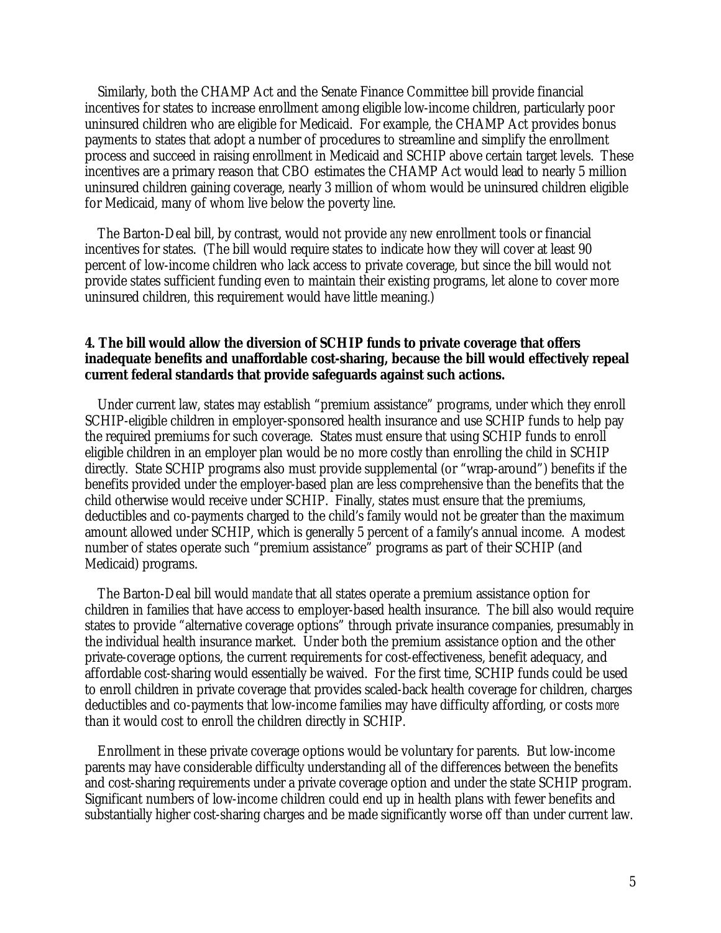Similarly, both the CHAMP Act and the Senate Finance Committee bill provide financial incentives for states to increase enrollment among eligible low-income children, particularly poor uninsured children who are eligible for Medicaid. For example, the CHAMP Act provides bonus payments to states that adopt a number of procedures to streamline and simplify the enrollment process and succeed in raising enrollment in Medicaid and SCHIP above certain target levels. These incentives are a primary reason that CBO estimates the CHAMP Act would lead to nearly 5 million uninsured children gaining coverage, nearly 3 million of whom would be uninsured children eligible for Medicaid, many of whom live below the poverty line.

The Barton-Deal bill, by contrast, would not provide *any* new enrollment tools or financial incentives for states. (The bill would require states to indicate how they will cover at least 90 percent of low-income children who lack access to private coverage, but since the bill would not provide states sufficient funding even to maintain their existing programs, let alone to cover more uninsured children, this requirement would have little meaning.)

### **4. The bill would allow the diversion of SCHIP funds to private coverage that offers inadequate benefits and unaffordable cost-sharing, because the bill would effectively repeal current federal standards that provide safeguards against such actions.**

Under current law, states may establish "premium assistance" programs, under which they enroll SCHIP-eligible children in employer-sponsored health insurance and use SCHIP funds to help pay the required premiums for such coverage. States must ensure that using SCHIP funds to enroll eligible children in an employer plan would be no more costly than enrolling the child in SCHIP directly. State SCHIP programs also must provide supplemental (or "wrap-around") benefits if the benefits provided under the employer-based plan are less comprehensive than the benefits that the child otherwise would receive under SCHIP. Finally, states must ensure that the premiums, deductibles and co-payments charged to the child's family would not be greater than the maximum amount allowed under SCHIP, which is generally 5 percent of a family's annual income. A modest number of states operate such "premium assistance" programs as part of their SCHIP (and Medicaid) programs.

The Barton-Deal bill would *mandate* that all states operate a premium assistance option for children in families that have access to employer-based health insurance. The bill also would require states to provide "alternative coverage options" through private insurance companies, presumably in the individual health insurance market. Under both the premium assistance option and the other private-coverage options, the current requirements for cost-effectiveness, benefit adequacy, and affordable cost-sharing would essentially be waived. For the first time, SCHIP funds could be used to enroll children in private coverage that provides scaled-back health coverage for children, charges deductibles and co-payments that low-income families may have difficulty affording, or costs *more*  than it would cost to enroll the children directly in SCHIP.

Enrollment in these private coverage options would be voluntary for parents. But low-income parents may have considerable difficulty understanding all of the differences between the benefits and cost-sharing requirements under a private coverage option and under the state SCHIP program. Significant numbers of low-income children could end up in health plans with fewer benefits and substantially higher cost-sharing charges and be made significantly worse off than under current law.